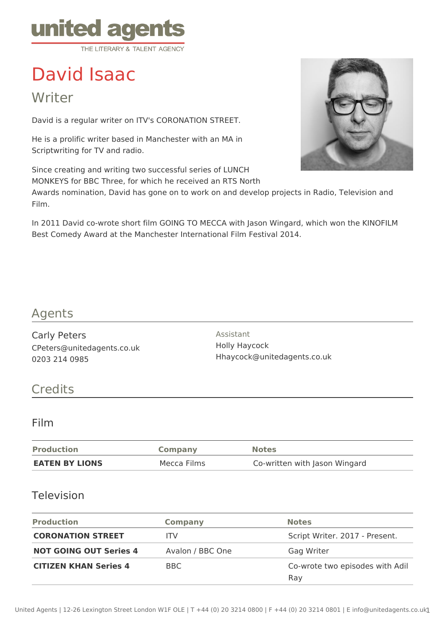

# David Isaac

Writer

David is a regular writer on ITV's CORONATION STREET.

He is a prolific writer based in Manchester with an MA in Scriptwriting for TV and radio.

Since creating and writing two successful series of LUNCH MONKEYS for BBC Three, for which he received an RTS North

Awards nomination, David has gone on to work on and develop projects in Radio, Television and Film.

In 2011 David co-wrote short film GOING TO MECCA with Jason Wingard, which won the KINOFILM Best Comedy Award at the Manchester International Film Festival 2014.

## Agents

Carly Peters CPeters@unitedagents.co.uk 0203 214 0985

Assistant Holly Haycock Hhaycock@unitedagents.co.uk

# **Credits**

#### Film

| <b>Production</b>     | <b>Company</b> | <b>Notes</b>                  |
|-----------------------|----------------|-------------------------------|
| <b>EATEN BY LIONS</b> | Mecca Films    | Co-written with Jason Wingard |

#### Television

| <b>Production</b>             | <b>Company</b>   | <b>Notes</b>                           |
|-------------------------------|------------------|----------------------------------------|
| <b>CORONATION STREET</b>      | ITV              | Script Writer. 2017 - Present.         |
| <b>NOT GOING OUT Series 4</b> | Avalon / BBC One | Gag Writer                             |
| <b>CITIZEN KHAN Series 4</b>  | BBC.             | Co-wrote two episodes with Adil<br>Ray |